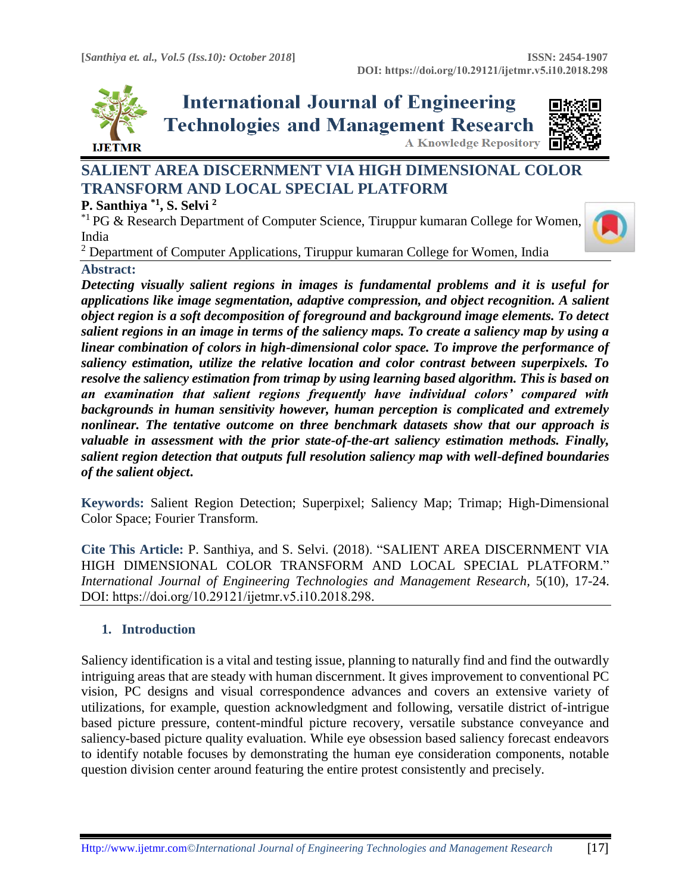

**International Journal of Engineering Technologies and Management Research A Knowledge Repository** 



# **SALIENT AREA DISCERNMENT VIA HIGH DIMENSIONAL COLOR TRANSFORM AND LOCAL SPECIAL PLATFORM**

# **P. Santhiya \*1, S. Selvi <sup>2</sup>**

\*1 PG & Research Department of Computer Science, Tiruppur kumaran College for Women, India



<sup>2</sup> Department of Computer Applications, Tiruppur kumaran College for Women, India

# **Abstract:**

*Detecting visually salient regions in images is fundamental problems and it is useful for applications like image segmentation, adaptive compression, and object recognition. A salient object region is a soft decomposition of foreground and background image elements. To detect salient regions in an image in terms of the saliency maps. To create a saliency map by using a linear combination of colors in high-dimensional color space. To improve the performance of saliency estimation, utilize the relative location and color contrast between superpixels. To resolve the saliency estimation from trimap by using learning based algorithm. This is based on an examination that salient regions frequently have individual colors' compared with backgrounds in human sensitivity however, human perception is complicated and extremely nonlinear. The tentative outcome on three benchmark datasets show that our approach is valuable in assessment with the prior state-of-the-art saliency estimation methods. Finally, salient region detection that outputs full resolution saliency map with well-defined boundaries of the salient object***.**

**Keywords:** Salient Region Detection; Superpixel; Saliency Map; Trimap; High-Dimensional Color Space; Fourier Transform*.* 

**Cite This Article:** P. Santhiya, and S. Selvi. (2018). "SALIENT AREA DISCERNMENT VIA HIGH DIMENSIONAL COLOR TRANSFORM AND LOCAL SPECIAL PLATFORM." *International Journal of Engineering Technologies and Management Research, 5(10), 17-24.* DOI: https://doi.org/10.29121/ijetmr.v5.i10.2018.298.

# **1. Introduction**

Saliency identification is a vital and testing issue, planning to naturally find and find the outwardly intriguing areas that are steady with human discernment. It gives improvement to conventional PC vision, PC designs and visual correspondence advances and covers an extensive variety of utilizations, for example, question acknowledgment and following, versatile district of-intrigue based picture pressure, content-mindful picture recovery, versatile substance conveyance and saliency-based picture quality evaluation. While eye obsession based saliency forecast endeavors to identify notable focuses by demonstrating the human eye consideration components, notable question division center around featuring the entire protest consistently and precisely.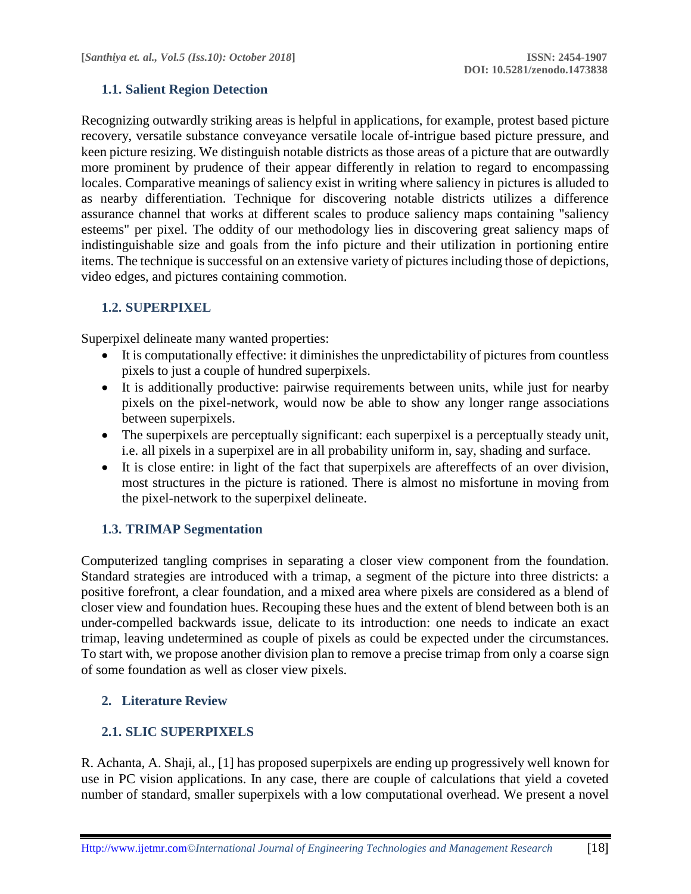# **1.1. Salient Region Detection**

Recognizing outwardly striking areas is helpful in applications, for example, protest based picture recovery, versatile substance conveyance versatile locale of-intrigue based picture pressure, and keen picture resizing. We distinguish notable districts as those areas of a picture that are outwardly more prominent by prudence of their appear differently in relation to regard to encompassing locales. Comparative meanings of saliency exist in writing where saliency in pictures is alluded to as nearby differentiation. Technique for discovering notable districts utilizes a difference assurance channel that works at different scales to produce saliency maps containing "saliency esteems" per pixel. The oddity of our methodology lies in discovering great saliency maps of indistinguishable size and goals from the info picture and their utilization in portioning entire items. The technique is successful on an extensive variety of pictures including those of depictions, video edges, and pictures containing commotion.

# **1.2. SUPERPIXEL**

Superpixel delineate many wanted properties:

- It is computationally effective: it diminishes the unpredictability of pictures from countless pixels to just a couple of hundred superpixels.
- It is additionally productive: pairwise requirements between units, while just for nearby pixels on the pixel-network, would now be able to show any longer range associations between superpixels.
- The superpixels are perceptually significant: each superpixel is a perceptually steady unit, i.e. all pixels in a superpixel are in all probability uniform in, say, shading and surface.
- It is close entire: in light of the fact that superpixels are aftereffects of an over division, most structures in the picture is rationed. There is almost no misfortune in moving from the pixel-network to the superpixel delineate.

# **1.3. TRIMAP Segmentation**

Computerized tangling comprises in separating a closer view component from the foundation. Standard strategies are introduced with a trimap, a segment of the picture into three districts: a positive forefront, a clear foundation, and a mixed area where pixels are considered as a blend of closer view and foundation hues. Recouping these hues and the extent of blend between both is an under-compelled backwards issue, delicate to its introduction: one needs to indicate an exact trimap, leaving undetermined as couple of pixels as could be expected under the circumstances. To start with, we propose another division plan to remove a precise trimap from only a coarse sign of some foundation as well as closer view pixels.

# **2. Literature Review**

# **2.1. SLIC SUPERPIXELS**

R. Achanta, A. Shaji, al., [1] has proposed superpixels are ending up progressively well known for use in PC vision applications. In any case, there are couple of calculations that yield a coveted number of standard, smaller superpixels with a low computational overhead. We present a novel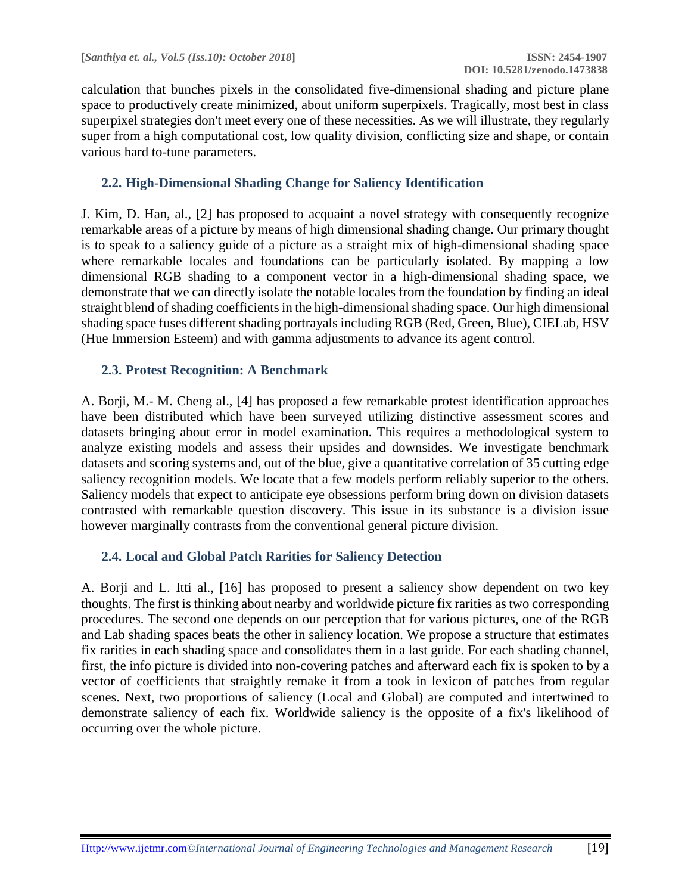calculation that bunches pixels in the consolidated five-dimensional shading and picture plane space to productively create minimized, about uniform superpixels. Tragically, most best in class superpixel strategies don't meet every one of these necessities. As we will illustrate, they regularly super from a high computational cost, low quality division, conflicting size and shape, or contain various hard to-tune parameters.

#### **2.2. High-Dimensional Shading Change for Saliency Identification**

J. Kim, D. Han, al., [2] has proposed to acquaint a novel strategy with consequently recognize remarkable areas of a picture by means of high dimensional shading change. Our primary thought is to speak to a saliency guide of a picture as a straight mix of high-dimensional shading space where remarkable locales and foundations can be particularly isolated. By mapping a low dimensional RGB shading to a component vector in a high-dimensional shading space, we demonstrate that we can directly isolate the notable locales from the foundation by finding an ideal straight blend of shading coefficients in the high-dimensional shading space. Our high dimensional shading space fuses different shading portrayals including RGB (Red, Green, Blue), CIELab, HSV (Hue Immersion Esteem) and with gamma adjustments to advance its agent control.

#### **2.3. Protest Recognition: A Benchmark**

A. Borji, M.- M. Cheng al., [4] has proposed a few remarkable protest identification approaches have been distributed which have been surveyed utilizing distinctive assessment scores and datasets bringing about error in model examination. This requires a methodological system to analyze existing models and assess their upsides and downsides. We investigate benchmark datasets and scoring systems and, out of the blue, give a quantitative correlation of 35 cutting edge saliency recognition models. We locate that a few models perform reliably superior to the others. Saliency models that expect to anticipate eye obsessions perform bring down on division datasets contrasted with remarkable question discovery. This issue in its substance is a division issue however marginally contrasts from the conventional general picture division.

# **2.4. Local and Global Patch Rarities for Saliency Detection**

A. Borji and L. Itti al., [16] has proposed to present a saliency show dependent on two key thoughts. The first is thinking about nearby and worldwide picture fix rarities as two corresponding procedures. The second one depends on our perception that for various pictures, one of the RGB and Lab shading spaces beats the other in saliency location. We propose a structure that estimates fix rarities in each shading space and consolidates them in a last guide. For each shading channel, first, the info picture is divided into non-covering patches and afterward each fix is spoken to by a vector of coefficients that straightly remake it from a took in lexicon of patches from regular scenes. Next, two proportions of saliency (Local and Global) are computed and intertwined to demonstrate saliency of each fix. Worldwide saliency is the opposite of a fix's likelihood of occurring over the whole picture.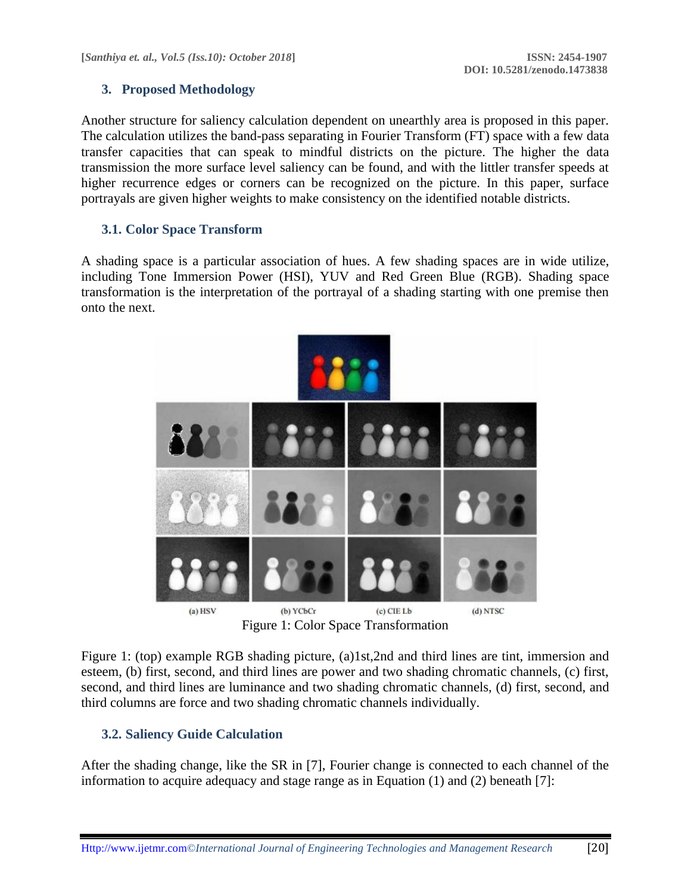# **3. Proposed Methodology**

Another structure for saliency calculation dependent on unearthly area is proposed in this paper. The calculation utilizes the band-pass separating in Fourier Transform (FT) space with a few data transfer capacities that can speak to mindful districts on the picture. The higher the data transmission the more surface level saliency can be found, and with the littler transfer speeds at higher recurrence edges or corners can be recognized on the picture. In this paper, surface portrayals are given higher weights to make consistency on the identified notable districts.

# **3.1. Color Space Transform**

A shading space is a particular association of hues. A few shading spaces are in wide utilize, including Tone Immersion Power (HSI), YUV and Red Green Blue (RGB). Shading space transformation is the interpretation of the portrayal of a shading starting with one premise then onto the next.



Figure 1: Color Space Transformation

Figure 1: (top) example RGB shading picture, (a)1st,2nd and third lines are tint, immersion and esteem, (b) first, second, and third lines are power and two shading chromatic channels, (c) first, second, and third lines are luminance and two shading chromatic channels, (d) first, second, and third columns are force and two shading chromatic channels individually.

# **3.2. Saliency Guide Calculation**

After the shading change, like the SR in [7], Fourier change is connected to each channel of the information to acquire adequacy and stage range as in Equation  $(1)$  and  $(2)$  beneath [7]: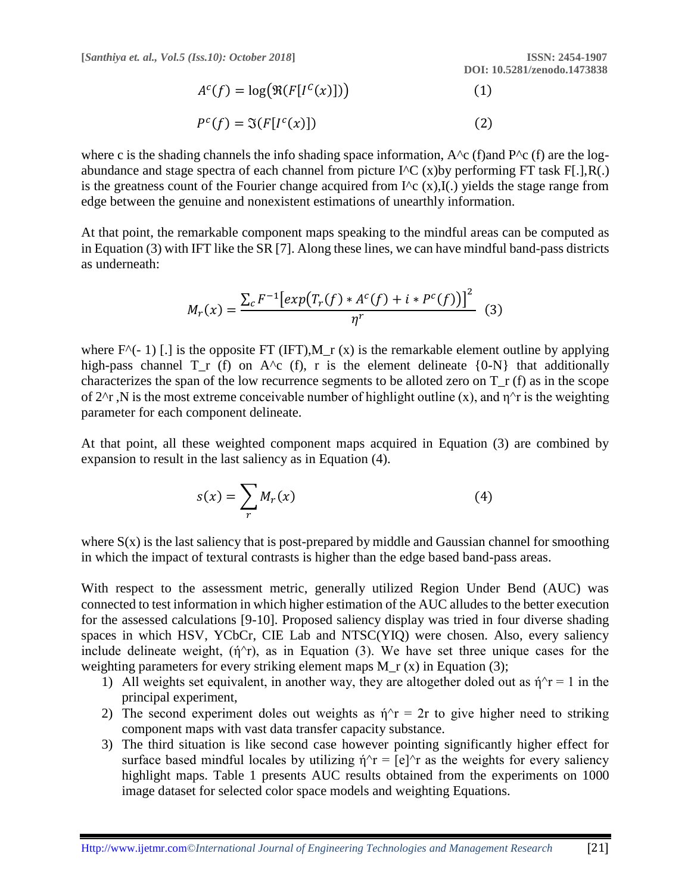$$
A^{c}(f) = \log(\Re(F[I^{c}(x)])))
$$
\n
$$
P^{c}(f) = \Im(F[I^{c}(x)])
$$
\n(1)

where c is the shading channels the info shading space information,  $A^c$  (f)and  $P^c$  (f) are the logabundance and stage spectra of each channel from picture  $I^{\wedge}C$  (x)by performing FT task F[.],R(.) is the greatness count of the Fourier change acquired from  $I^c$  (x), $I(.)$  yields the stage range from edge between the genuine and nonexistent estimations of unearthly information.

At that point, the remarkable component maps speaking to the mindful areas can be computed as in Equation (3) with IFT like the SR [7]. Along these lines, we can have mindful band-pass districts as underneath:

$$
M_r(x) = \frac{\sum_{c} F^{-1} \left[ exp\left(T_r(f) * A^c(f) + i * P^c(f)\right) \right]^2}{\eta^r}
$$
 (3)

where  $F^{\wedge}(-1)$  [.] is the opposite FT (IFT),M\_r (x) is the remarkable element outline by applying high-pass channel  $T_r$  (f) on  $A^c$  (f), r is the element delineate  ${0-N}$  that additionally characterizes the span of the low recurrence segments to be alloted zero on  $T_r$  (f) as in the scope of 2<sup> $\gamma$ </sup>r ,N is the most extreme conceivable number of highlight outline (x), and  $\eta^{\gamma}$  is the weighting parameter for each component delineate.

At that point, all these weighted component maps acquired in Equation (3) are combined by expansion to result in the last saliency as in Equation (4).

$$
s(x) = \sum_{r} M_r(x) \tag{4}
$$

where  $S(x)$  is the last saliency that is post-prepared by middle and Gaussian channel for smoothing in which the impact of textural contrasts is higher than the edge based band-pass areas.

With respect to the assessment metric, generally utilized Region Under Bend (AUC) was connected to test information in which higher estimation of the AUC alludes to the better execution for the assessed calculations [9-10]. Proposed saliency display was tried in four diverse shading spaces in which HSV, YCbCr, CIE Lab and NTSC(YIQ) were chosen. Also, every saliency include delineate weight,  $(\eta^{\wedge}r)$ , as in Equation (3). We have set three unique cases for the weighting parameters for every striking element maps M\_r (x) in Equation (3);

- 1) All weights set equivalent, in another way, they are altogether doled out as  $\eta^2 r = 1$  in the principal experiment,
- 2) The second experiment doles out weights as  $\eta$ <sup> $\wedge$ </sup>r = 2r to give higher need to striking component maps with vast data transfer capacity substance.
- 3) The third situation is like second case however pointing significantly higher effect for surface based mindful locales by utilizing  $\eta^T = [e]^T$  as the weights for every saliency highlight maps. Table 1 presents AUC results obtained from the experiments on 1000 image dataset for selected color space models and weighting Equations.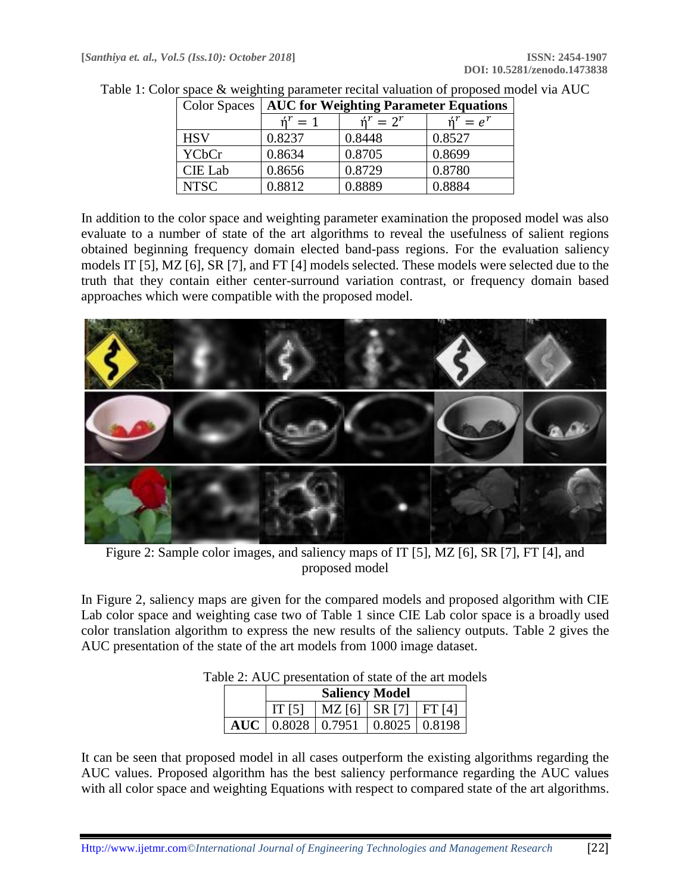| <b>Color Spaces</b> | <b>AUC for Weighting Parameter Equations</b> |                            |                            |  |
|---------------------|----------------------------------------------|----------------------------|----------------------------|--|
|                     | $\mathbf{\dot{n}}^r = 1$                     | $\mathbf{\dot{n}}^r = 2^r$ | $\mathbf{\dot{n}}^r = e^r$ |  |
| <b>HSV</b>          | 0.8237                                       | 0.8448                     | 0.8527                     |  |
| <b>YCbCr</b>        | 0.8634                                       | 0.8705                     | 0.8699                     |  |
| <b>CIE Lab</b>      | 0.8656                                       | 0.8729                     | 0.8780                     |  |
| <b>NTSC</b>         | 0.8812                                       | 0.8889                     | 0.8884                     |  |

| Table 1: Color space & weighting parameter recital valuation of proposed model via AUC |  |  |  |  |  |
|----------------------------------------------------------------------------------------|--|--|--|--|--|
|                                                                                        |  |  |  |  |  |

In addition to the color space and weighting parameter examination the proposed model was also evaluate to a number of state of the art algorithms to reveal the usefulness of salient regions obtained beginning frequency domain elected band-pass regions. For the evaluation saliency models IT [5], MZ [6], SR [7], and FT [4] models selected. These models were selected due to the truth that they contain either center-surround variation contrast, or frequency domain based approaches which were compatible with the proposed model.



Figure 2: Sample color images, and saliency maps of IT [5], MZ [6], SR [7], FT [4], and proposed model

In Figure 2, saliency maps are given for the compared models and proposed algorithm with CIE Lab color space and weighting case two of Table 1 since CIE Lab color space is a broadly used color translation algorithm to express the new results of the saliency outputs. Table 2 gives the AUC presentation of the state of the art models from 1000 image dataset.

|  | <b>Saliency Model</b> |                                                 |  |  |  |
|--|-----------------------|-------------------------------------------------|--|--|--|
|  | IT [5]                | $MZ$ [6]   SR [7]   FT [4]                      |  |  |  |
|  |                       | AUC   $0.8028$   $0.7951$   $0.8025$   $0.8198$ |  |  |  |

# Table 2: AUC presentation of state of the art models

It can be seen that proposed model in all cases outperform the existing algorithms regarding the AUC values. Proposed algorithm has the best saliency performance regarding the AUC values with all color space and weighting Equations with respect to compared state of the art algorithms.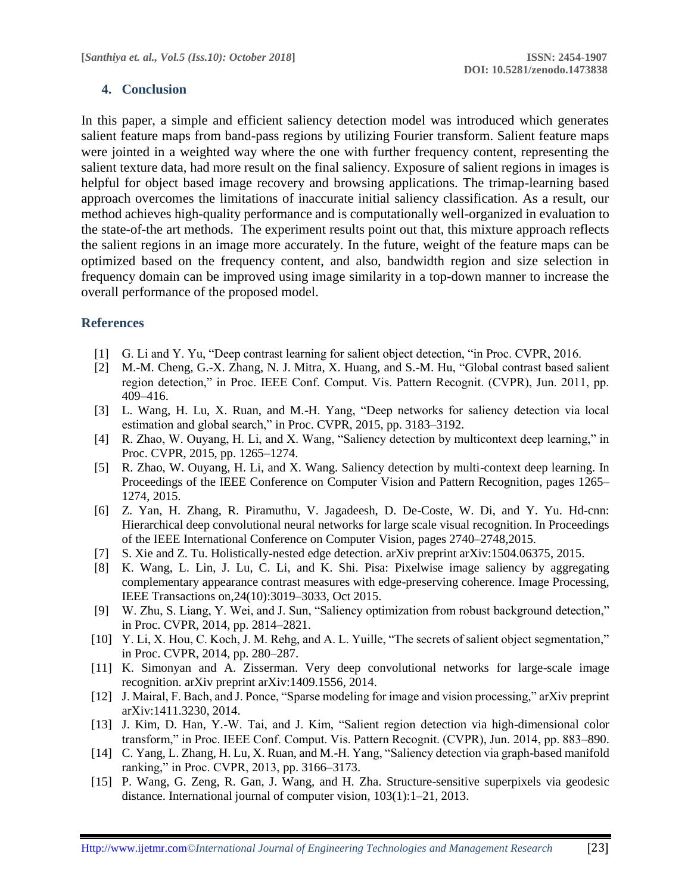## **4. Conclusion**

In this paper, a simple and efficient saliency detection model was introduced which generates salient feature maps from band-pass regions by utilizing Fourier transform. Salient feature maps were jointed in a weighted way where the one with further frequency content, representing the salient texture data, had more result on the final saliency. Exposure of salient regions in images is helpful for object based image recovery and browsing applications. The trimap-learning based approach overcomes the limitations of inaccurate initial saliency classification. As a result, our method achieves high-quality performance and is computationally well-organized in evaluation to the state-of-the art methods. The experiment results point out that, this mixture approach reflects the salient regions in an image more accurately. In the future, weight of the feature maps can be optimized based on the frequency content, and also, bandwidth region and size selection in frequency domain can be improved using image similarity in a top-down manner to increase the overall performance of the proposed model.

#### **References**

- [1] G. Li and Y. Yu, "Deep contrast learning for salient object detection, "in Proc. CVPR, 2016.
- [2] M.-M. Cheng, G.-X. Zhang, N. J. Mitra, X. Huang, and S.-M. Hu, "Global contrast based salient region detection," in Proc. IEEE Conf. Comput. Vis. Pattern Recognit. (CVPR), Jun. 2011, pp. 409–416.
- [3] L. Wang, H. Lu, X. Ruan, and M.-H. Yang, "Deep networks for saliency detection via local estimation and global search," in Proc. CVPR, 2015, pp. 3183–3192.
- [4] R. Zhao, W. Ouyang, H. Li, and X. Wang, "Saliency detection by multicontext deep learning," in Proc. CVPR, 2015, pp. 1265–1274.
- [5] R. Zhao, W. Ouyang, H. Li, and X. Wang. Saliency detection by multi-context deep learning. In Proceedings of the IEEE Conference on Computer Vision and Pattern Recognition, pages 1265– 1274, 2015.
- [6] Z. Yan, H. Zhang, R. Piramuthu, V. Jagadeesh, D. De-Coste, W. Di, and Y. Yu. Hd-cnn: Hierarchical deep convolutional neural networks for large scale visual recognition. In Proceedings of the IEEE International Conference on Computer Vision, pages 2740–2748,2015.
- [7] S. Xie and Z. Tu. Holistically-nested edge detection. arXiv preprint arXiv:1504.06375, 2015.
- [8] K. Wang, L. Lin, J. Lu, C. Li, and K. Shi. Pisa: Pixelwise image saliency by aggregating complementary appearance contrast measures with edge-preserving coherence. Image Processing, IEEE Transactions on,24(10):3019–3033, Oct 2015.
- [9] W. Zhu, S. Liang, Y. Wei, and J. Sun, "Saliency optimization from robust background detection," in Proc. CVPR, 2014, pp. 2814–2821.
- [10] Y. Li, X. Hou, C. Koch, J. M. Rehg, and A. L. Yuille, "The secrets of salient object segmentation," in Proc. CVPR, 2014, pp. 280–287.
- [11] K. Simonyan and A. Zisserman. Very deep convolutional networks for large-scale image recognition. arXiv preprint arXiv:1409.1556, 2014.
- [12] J. Mairal, F. Bach, and J. Ponce, "Sparse modeling for image and vision processing," arXiv preprint arXiv:1411.3230, 2014.
- [13] J. Kim, D. Han, Y.-W. Tai, and J. Kim, "Salient region detection via high-dimensional color transform," in Proc. IEEE Conf. Comput. Vis. Pattern Recognit. (CVPR), Jun. 2014, pp. 883–890.
- [14] C. Yang, L. Zhang, H. Lu, X. Ruan, and M.-H. Yang, "Saliency detection via graph-based manifold ranking," in Proc. CVPR, 2013, pp. 3166–3173.
- [15] P. Wang, G. Zeng, R. Gan, J. Wang, and H. Zha. Structure-sensitive superpixels via geodesic distance. International journal of computer vision, 103(1):1–21, 2013.